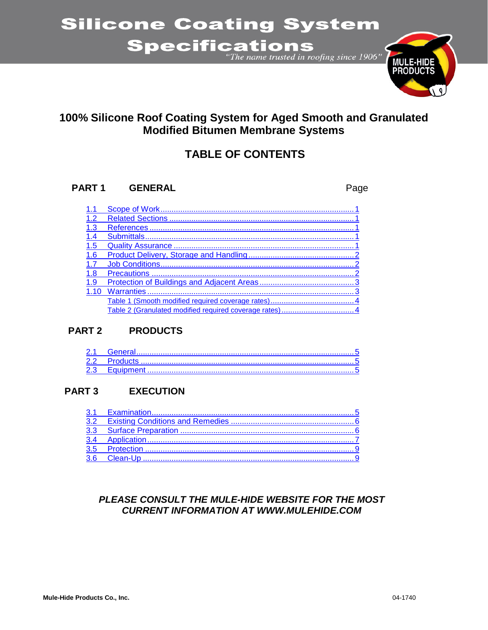## **Silicone Coating System**

# Specifications



## 100% Silicone Roof Coating System for Aged Smooth and Granulated **Modified Bitumen Membrane Systems**

## **TABLE OF CONTENTS**

#### PART<sub>1</sub> **GENERAL**

Page

| 1.1 |  |
|-----|--|
| 1.2 |  |
| 1.3 |  |
| 1.4 |  |
| 1.5 |  |
| 1.6 |  |
| 1.7 |  |
| 1.8 |  |
| 1.9 |  |
|     |  |
|     |  |
|     |  |

#### **PART 2 PRODUCTS**

#### PART<sub>3</sub> **EXECUTION**

#### PLEASE CONSULT THE MULE-HIDE WEBSITE FOR THE MOST **CURRENT INFORMATION AT WWW.MULEHIDE.COM**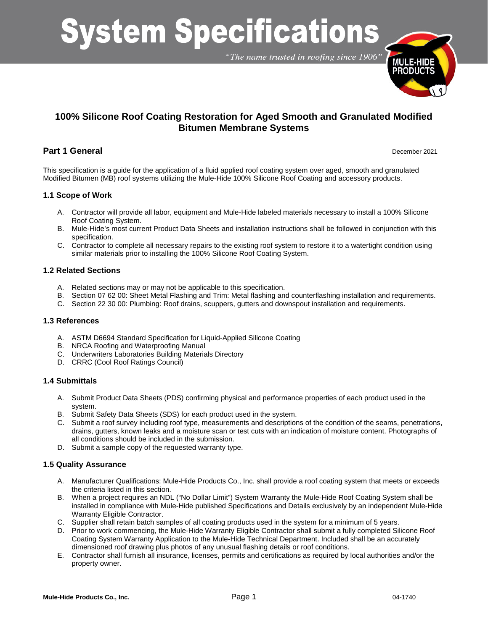# **System Specifications**

"The name trusted in roofing since 1906"



#### **100% Silicone Roof Coating Restoration for Aged Smooth and Granulated Modified Bitumen Membrane Systems**

#### **Part 1 General** December 2021

This specification is a guide for the application of a fluid applied roof coating system over aged, smooth and granulated Modified Bitumen (MB) roof systems utilizing the Mule-Hide 100% Silicone Roof Coating and accessory products.

#### <span id="page-1-0"></span>**1.1 Scope of Work**

- A. Contractor will provide all labor, equipment and Mule-Hide labeled materials necessary to install a 100% Silicone Roof Coating System.
- B. Mule-Hide's most current Product Data Sheets and installation instructions shall be followed in conjunction with this specification.
- C. Contractor to complete all necessary repairs to the existing roof system to restore it to a watertight condition using similar materials prior to installing the 100% Silicone Roof Coating System.

#### <span id="page-1-1"></span>**1.2 Related Sections**

- A. Related sections may or may not be applicable to this specification.
- B. Section 07 62 00: Sheet Metal Flashing and Trim: Metal flashing and counterflashing installation and requirements.
- C. Section 22 30 00: Plumbing: Roof drains, scuppers, gutters and downspout installation and requirements.

#### <span id="page-1-2"></span>**1.3 References**

- A. ASTM D6694 Standard Specification for Liquid-Applied Silicone Coating
- B. NRCA Roofing and Waterproofing Manual
- C. Underwriters Laboratories Building Materials Directory
- D. CRRC (Cool Roof Ratings Council)

#### <span id="page-1-3"></span>**1.4 Submittals**

- A. Submit Product Data Sheets (PDS) confirming physical and performance properties of each product used in the system.
- B. Submit Safety Data Sheets (SDS) for each product used in the system.
- C. Submit a roof survey including roof type, measurements and descriptions of the condition of the seams, penetrations, drains, gutters, known leaks and a moisture scan or test cuts with an indication of moisture content. Photographs of all conditions should be included in the submission.
- D. Submit a sample copy of the requested warranty type.

#### <span id="page-1-4"></span>**1.5 Quality Assurance**

- A. Manufacturer Qualifications: Mule-Hide Products Co., Inc. shall provide a roof coating system that meets or exceeds the criteria listed in this section.
- B. When a project requires an NDL ("No Dollar Limit") System Warranty the Mule-Hide Roof Coating System shall be installed in compliance with Mule-Hide published Specifications and Details exclusively by an independent Mule-Hide Warranty Eligible Contractor.
- C. Supplier shall retain batch samples of all coating products used in the system for a minimum of 5 years.
- D. Prior to work commencing, the Mule-Hide Warranty Eligible Contractor shall submit a fully completed Silicone Roof Coating System Warranty Application to the Mule-Hide Technical Department. Included shall be an accurately dimensioned roof drawing plus photos of any unusual flashing details or roof conditions.
- E. Contractor shall furnish all insurance, licenses, permits and certifications as required by local authorities and/or the property owner.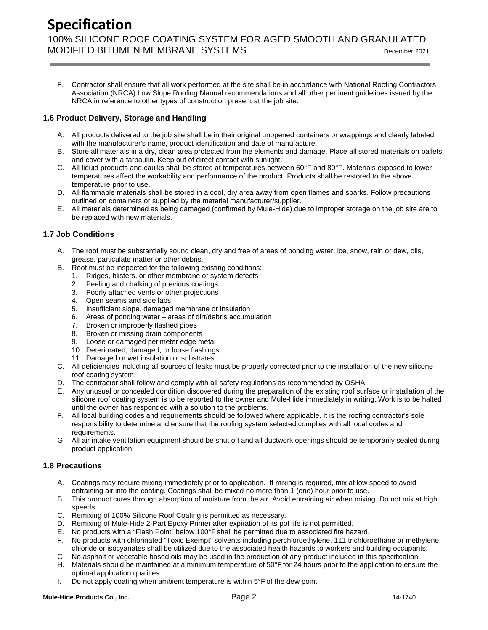F. Contractor shall ensure that all work performed at the site shall be in accordance with National Roofing Contractors Association (NRCA) Low Slope Roofing Manual recommendations and all other pertinent guidelines issued by the NRCA in reference to other types of construction present at the job site.

#### <span id="page-2-0"></span>**1.6 Product Delivery, Storage and Handling**

- A. All products delivered to the job site shall be in their original unopened containers or wrappings and clearly labeled with the manufacturer's name, product identification and date of manufacture.
- B. Store all materials in a dry, clean area protected from the elements and damage. Place all stored materials on pallets and cover with a tarpaulin. Keep out of direct contact with sunlight.
- C. All liquid products and caulks shall be stored at temperatures between 60°F and 80°F. Materials exposed to lower temperatures affect the workability and performance of the product. Products shall be restored to the above temperature prior to use.
- D. All flammable materials shall be stored in a cool, dry area away from open flames and sparks. Follow precautions outlined on containers or supplied by the material manufacturer/supplier.
- E. All materials determined as being damaged (confirmed by Mule-Hide) due to improper storage on the job site are to be replaced with new materials.

#### <span id="page-2-1"></span>**1.7 Job Conditions**

- A. The roof must be substantially sound clean, dry and free of areas of ponding water, ice, snow, rain or dew, oils, grease, particulate matter or other debris.
- B. Roof must be inspected for the following existing conditions:
	- 1. Ridges, blisters, or other membrane or system defects
		- 2. Peeling and chalking of previous coatings
		- 3. Poorly attached vents or other projections
		- 4. Open seams and side laps
		- 5. Insufficient slope, damaged membrane or insulation
		- 6. Areas of ponding water areas of dirt/debris accumulation
		- 7. Broken or improperly flashed pipes
		- 8. Broken or missing drain components
		- 9. Loose or damaged perimeter edge metal
		- 10. Deteriorated, damaged, or loose flashings
		- 11. Damaged or wet insulation or substrates
- C. All deficiencies including all sources of leaks must be properly corrected prior to the installation of the new silicone roof coating system.
- D. The contractor shall follow and comply with all safety regulations as recommended by OSHA.
- E. Any unusual or concealed condition discovered during the preparation of the existing roof surface or installation of the silicone roof coating system is to be reported to the owner and Mule-Hide immediately in writing. Work is to be halted until the owner has responded with a solution to the problems.
- F. All local building codes and requirements should be followed where applicable. It is the roofing contractor's sole responsibility to determine and ensure that the roofing system selected complies with all local codes and requirements.
- G. All air intake ventilation equipment should be shut off and all ductwork openings should be temporarily sealed during product application.

#### <span id="page-2-2"></span>**1.8 Precautions**

- A. Coatings may require mixing immediately prior to application. If mixing is required, mix at low speed to avoid entraining air into the coating. Coatings shall be mixed no more than 1 (one) hour prior to use.
- B. This product cures through absorption of moisture from the air. Avoid entraining air when mixing. Do not mix at high speeds.
- C. Remixing of 100% Silicone Roof Coating is permitted as necessary.
- D. Remixing of Mule-Hide 2-Part Epoxy Primer after expiration of its pot life is not permitted.
- E. No products with a "Flash Point" below 100°F shall be permitted due to associated fire hazard.
- F. No products with chlorinated "Toxic Exempt" solvents including perchloroethylene, 111 trichloroethane or methylene chloride or isocyanates shall be utilized due to the associated health hazards to workers and building occupants.
- G. No asphalt or vegetable based oils may be used in the production of any product included in this specification.
- H. Materials should be maintained at a minimum temperature of 50°F for 24 hours prior to the application to ensure the optimal application qualities.
- I. Do not apply coating when ambient temperature is within  $5^{\circ}$ F of the dew point.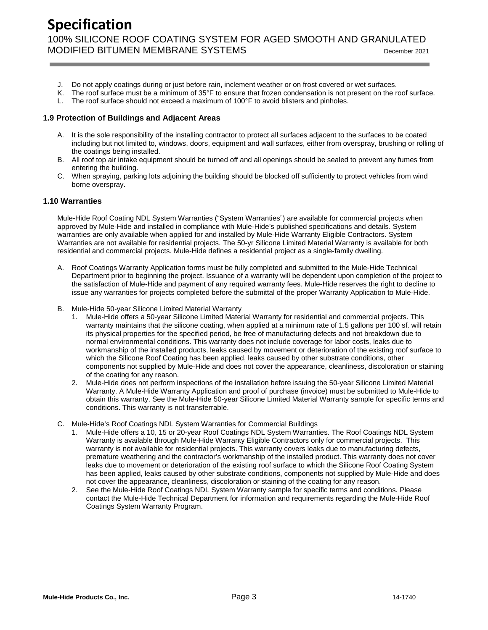- J. Do not apply coatings during or just before rain, inclement weather or on frost covered or wet surfaces.
- K. The roof surface must be a minimum of 35°F to ensure that frozen condensation is not present on the roof surface.
- L. The roof surface should not exceed a maximum of 100°F to avoid blisters and pinholes.

#### <span id="page-3-0"></span>**1.9 Protection of Buildings and Adjacent Areas**

- A. It is the sole responsibility of the installing contractor to protect all surfaces adjacent to the surfaces to be coated including but not limited to, windows, doors, equipment and wall surfaces, either from overspray, brushing or rolling of the coatings being installed.
- B. All roof top air intake equipment should be turned off and all openings should be sealed to prevent any fumes from entering the building.
- C. When spraying, parking lots adjoining the building should be blocked off sufficiently to protect vehicles from wind borne overspray.

#### <span id="page-3-1"></span>**1.10 Warranties**

Mule-Hide Roof Coating NDL System Warranties ("System Warranties") are available for commercial projects when approved by Mule-Hide and installed in compliance with Mule-Hide's published specifications and details. System warranties are only available when applied for and installed by Mule-Hide Warranty Eligible Contractors. System Warranties are not available for residential projects. The 50-yr Silicone Limited Material Warranty is available for both residential and commercial projects. Mule-Hide defines a residential project as a single-family dwelling.

- A. Roof Coatings Warranty Application forms must be fully completed and submitted to the Mule-Hide Technical Department prior to beginning the project. Issuance of a warranty will be dependent upon completion of the project to the satisfaction of Mule-Hide and payment of any required warranty fees. Mule-Hide reserves the right to decline to issue any warranties for projects completed before the submittal of the proper Warranty Application to Mule-Hide.
- B. Mule-Hide 50-year Silicone Limited Material Warranty
	- 1. Mule-Hide offers a 50-year Silicone Limited Material Warranty for residential and commercial projects. This warranty maintains that the silicone coating, when applied at a minimum rate of 1.5 gallons per 100 sf. will retain its physical properties for the specified period, be free of manufacturing defects and not breakdown due to normal environmental conditions. This warranty does not include coverage for labor costs, leaks due to workmanship of the installed products, leaks caused by movement or deterioration of the existing roof surface to which the Silicone Roof Coating has been applied, leaks caused by other substrate conditions, other components not supplied by Mule-Hide and does not cover the appearance, cleanliness, discoloration or staining of the coating for any reason.
	- 2. Mule-Hide does not perform inspections of the installation before issuing the 50-year Silicone Limited Material Warranty. A Mule-Hide Warranty Application and proof of purchase (invoice) must be submitted to Mule-Hide to obtain this warranty. See the Mule-Hide 50-year Silicone Limited Material Warranty sample for specific terms and conditions. This warranty is not transferrable.
- C. Mule-Hide's Roof Coatings NDL System Warranties for Commercial Buildings
	- Mule-Hide offers a 10, 15 or 20-year Roof Coatings NDL System Warranties. The Roof Coatings NDL System Warranty is available through Mule-Hide Warranty Eligible Contractors only for commercial projects. This warranty is not available for residential projects. This warranty covers leaks due to manufacturing defects, premature weathering and the contractor's workmanship of the installed product. This warranty does not cover leaks due to movement or deterioration of the existing roof surface to which the Silicone Roof Coating System has been applied, leaks caused by other substrate conditions, components not supplied by Mule-Hide and does not cover the appearance, cleanliness, discoloration or staining of the coating for any reason.
	- 2. See the Mule-Hide Roof Coatings NDL System Warranty sample for specific terms and conditions. Please contact the Mule-Hide Technical Department for information and requirements regarding the Mule-Hide Roof Coatings System Warranty Program.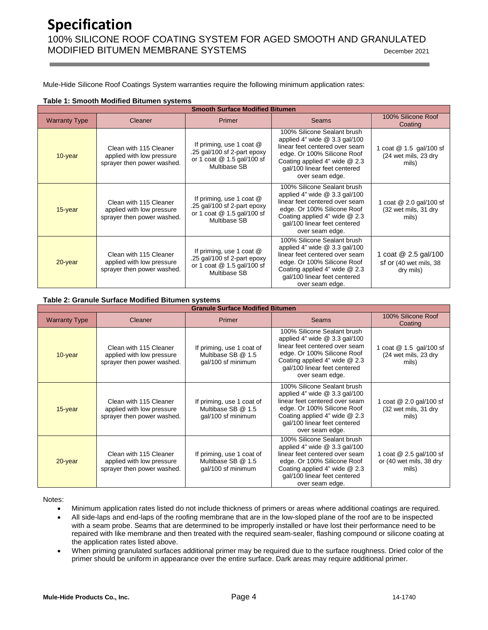Mule-Hide Silicone Roof Coatings System warranties require the following minimum application rates:

#### <span id="page-4-0"></span>**Table 1: Smooth Modified Bitumen systems**

| <b>Smooth Surface Modified Bitumen</b> |                                                                                   |                                                                                                         |                                                                                                                                                                                                                      |                                                             |  |  |  |
|----------------------------------------|-----------------------------------------------------------------------------------|---------------------------------------------------------------------------------------------------------|----------------------------------------------------------------------------------------------------------------------------------------------------------------------------------------------------------------------|-------------------------------------------------------------|--|--|--|
| <b>Warranty Type</b>                   | Cleaner                                                                           | <b>Primer</b>                                                                                           | Seams                                                                                                                                                                                                                | 100% Silicone Roof<br>Coating                               |  |  |  |
| 10-year                                | Clean with 115 Cleaner<br>applied with low pressure<br>sprayer then power washed. | If priming, use 1 coat @<br>.25 gal/100 sf 2-part epoxy<br>or 1 coat @ 1.5 gal/100 sf<br>Multibase SB   | 100% Silicone Sealant brush<br>applied 4" wide $@3.3$ gal/100<br>linear feet centered over seam<br>edge. Or 100% Silicone Roof<br>Coating applied 4" wide @ 2.3<br>gal/100 linear feet centered<br>over seam edge.   | 1 coat @ 1.5 gal/100 sf<br>(24 wet mils, 23 dry<br>mils)    |  |  |  |
| $15$ -year                             | Clean with 115 Cleaner<br>applied with low pressure<br>sprayer then power washed. | If priming, use 1 coat @<br>.25 gal/100 sf 2-part epoxy<br>or 1 coat $@$ 1.5 gal/100 sf<br>Multibase SB | 100% Silicone Sealant brush<br>applied 4" wide $@3.3$ gal/100<br>linear feet centered over seam<br>edge. Or 100% Silicone Roof<br>Coating applied 4" wide @ 2.3<br>gal/100 linear feet centered<br>over seam edge.   | 1 coat @ 2.0 gal/100 sf<br>(32 wet mils, 31 dry<br>mils)    |  |  |  |
| $20$ -year                             | Clean with 115 Cleaner<br>applied with low pressure<br>sprayer then power washed. | If priming, use 1 coat @<br>.25 gal/100 sf 2-part epoxy<br>or 1 coat $@$ 1.5 gal/100 sf<br>Multibase SB | 100% Silicone Sealant brush<br>applied 4" wide $@3.3$ gal/100<br>linear feet centered over seam<br>edge. Or 100% Silicone Roof<br>Coating applied 4" wide $@$ 2.3<br>gal/100 linear feet centered<br>over seam edge. | 1 coat @ 2.5 gal/100<br>sf or (40 wet mils, 38<br>dry mils) |  |  |  |

#### <span id="page-4-1"></span>**Table 2: Granule Surface Modified Bitumen systems**

| <b>Granule Surface Modified Bitumen</b> |                                                                                   |                                                                       |                                                                                                                                                                                                                      |                                                             |  |  |  |
|-----------------------------------------|-----------------------------------------------------------------------------------|-----------------------------------------------------------------------|----------------------------------------------------------------------------------------------------------------------------------------------------------------------------------------------------------------------|-------------------------------------------------------------|--|--|--|
| <b>Warranty Type</b>                    | Cleaner                                                                           | <b>Primer</b>                                                         | <b>Seams</b>                                                                                                                                                                                                         | 100% Silicone Roof<br>Coating                               |  |  |  |
| $10$ -year                              | Clean with 115 Cleaner<br>applied with low pressure<br>sprayer then power washed. | If priming, use 1 coat of<br>Multibase SB @ 1.5<br>gal/100 sf minimum | 100% Silicone Sealant brush<br>applied 4" wide $@3.3$ gal/100<br>linear feet centered over seam<br>edge. Or 100% Silicone Roof<br>Coating applied 4" wide $@$ 2.3<br>gal/100 linear feet centered<br>over seam edge. | 1 coat @ 1.5 gal/100 sf<br>(24 wet mils, 23 dry<br>mils)    |  |  |  |
| $15$ -year                              | Clean with 115 Cleaner<br>applied with low pressure<br>sprayer then power washed. | If priming, use 1 coat of<br>Multibase SB @ 1.5<br>gal/100 sf minimum | 100% Silicone Sealant brush<br>applied 4" wide $@3.3$ gal/100<br>linear feet centered over seam<br>edge. Or 100% Silicone Roof<br>Coating applied 4" wide $@$ 2.3<br>gal/100 linear feet centered<br>over seam edge. | 1 coat @ 2.0 gal/100 sf<br>(32 wet mils, 31 dry<br>mils)    |  |  |  |
| $20$ -year                              | Clean with 115 Cleaner<br>applied with low pressure<br>sprayer then power washed. | If priming, use 1 coat of<br>Multibase SB @ 1.5<br>gal/100 sf minimum | 100% Silicone Sealant brush<br>applied 4" wide $@3.3$ gal/100<br>linear feet centered over seam<br>edge. Or 100% Silicone Roof<br>Coating applied 4" wide $@$ 2.3<br>gal/100 linear feet centered<br>over seam edge. | 1 coat @ 2.5 gal/100 sf<br>or (40 wet mils, 38 dry<br>mils) |  |  |  |

Notes:

- Minimum application rates listed do not include thickness of primers or areas where additional coatings are required.
- All side-laps and end-laps of the roofing membrane that are in the low-sloped plane of the roof are to be inspected with a seam probe. Seams that are determined to be improperly installed or have lost their performance need to be repaired with like membrane and then treated with the required seam-sealer, flashing compound or silicone coating at the application rates listed above.
- When priming granulated surfaces additional primer may be required due to the surface roughness. Dried color of the primer should be uniform in appearance over the entire surface. Dark areas may require additional primer.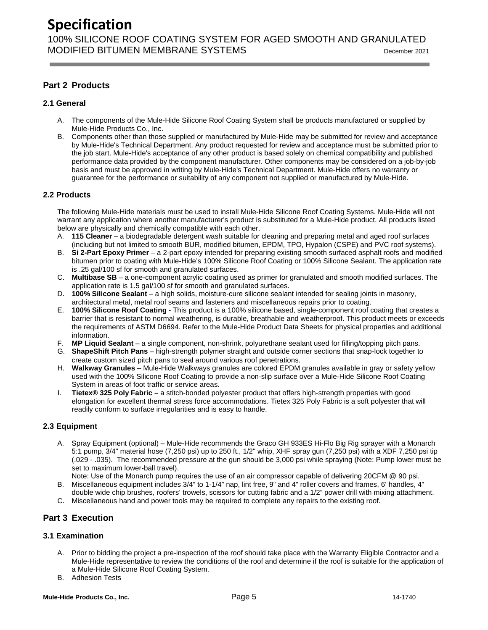## **Specification**

100% SILICONE ROOF COATING SYSTEM FOR AGED SMOOTH AND GRANULATED MODIFIED BITUMEN MEMBRANE SYSTEMS DECEMBER 2021

#### **Part 2 Products**

#### <span id="page-5-0"></span>**2.1 General**

- A. The components of the Mule-Hide Silicone Roof Coating System shall be products manufactured or supplied by Mule-Hide Products Co., Inc.
- B. Components other than those supplied or manufactured by Mule-Hide may be submitted for review and acceptance by Mule-Hide's Technical Department. Any product requested for review and acceptance must be submitted prior to the job start. Mule-Hide's acceptance of any other product is based solely on chemical compatibility and published performance data provided by the component manufacturer. Other components may be considered on a job-by-job basis and must be approved in writing by Mule-Hide's Technical Department. Mule-Hide offers no warranty or guarantee for the performance or suitability of any component not supplied or manufactured by Mule-Hide.

#### <span id="page-5-1"></span>**2.2 Products**

The following Mule-Hide materials must be used to install Mule-Hide Silicone Roof Coating Systems. Mule-Hide will not warrant any application where another manufacturer's product is substituted for a Mule-Hide product. All products listed below are physically and chemically compatible with each other.

- A. **115 Cleaner** a biodegradable detergent wash suitable for cleaning and preparing metal and aged roof surfaces (including but not limited to smooth BUR, modified bitumen, EPDM, TPO, Hypalon (CSPE) and PVC roof systems).
- B. **Si 2-Part Epoxy Primer** a 2-part epoxy intended for preparing existing smooth surfaced asphalt roofs and modified bitumen prior to coating with Mule-Hide's 100% Silicone Roof Coating or 100% Silicone Sealant. The application rate is .25 gal/100 sf for smooth and granulated surfaces.
- C. **Multibase SB** a one-component acrylic coating used as primer for granulated and smooth modified surfaces. The application rate is 1.5 gal/100 sf for smooth and granulated surfaces.
- D. **100% Silicone Sealant** a high solids, moisture-cure silicone sealant intended for sealing joints in masonry, architectural metal, metal roof seams and fasteners and miscellaneous repairs prior to coating.
- E. **100% Silicone Roof Coating** This product is a 100% silicone based, single-component roof coating that creates a barrier that is resistant to normal weathering, is durable, breathable and weatherproof. This product meets or exceeds the requirements of ASTM D6694. Refer to the Mule-Hide Product Data Sheets for physical properties and additional information.
- F. **MP Liquid Sealant** a single component, non-shrink, polyurethane sealant used for filling/topping pitch pans.
- G. **ShapeShift Pitch Pans** high-strength polymer straight and outside corner sections that snap-lock together to create custom sized pitch pans to seal around various roof penetrations.
- H. **Walkway Granules** Mule-Hide Walkways granules are colored EPDM granules available in gray or safety yellow used with the 100% Silicone Roof Coating to provide a non-slip surface over a Mule-Hide Silicone Roof Coating System in areas of foot traffic or service areas.
- I. **Tietex® 325 Poly Fabric –** a stitch-bonded polyester product that offers high-strength properties with good elongation for excellent thermal stress force accommodations. Tietex 325 Poly Fabric is a soft polyester that will readily conform to surface irregularities and is easy to handle.

#### <span id="page-5-2"></span>**2.3 Equipment**

A. Spray Equipment (optional) – Mule-Hide recommends the Graco GH 933ES Hi-Flo Big Rig sprayer with a Monarch 5:1 pump, 3/4" material hose (7,250 psi) up to 250 ft., 1/2" whip, XHF spray gun (7,250 psi) with a XDF 7,250 psi tip (.029 - .035). The recommended pressure at the gun should be 3,000 psi while spraying (Note: Pump lower must be set to maximum lower-ball travel).

Note: Use of the Monarch pump requires the use of an air compressor capable of delivering 20CFM @ 90 psi. B. Miscellaneous equipment includes 3/4" to 1-1/4" nap, lint free, 9" and 4" roller covers and frames, 6' handles, 4"

- double wide chip brushes, roofers' trowels, scissors for cutting fabric and a 1/2" power drill with mixing attachment.
- C. Miscellaneous hand and power tools may be required to complete any repairs to the existing roof.

#### **Part 3 Execution**

#### <span id="page-5-3"></span>**3.1 Examination**

- A. Prior to bidding the project a pre-inspection of the roof should take place with the Warranty Eligible Contractor and a Mule-Hide representative to review the conditions of the roof and determine if the roof is suitable for the application of a Mule-Hide Silicone Roof Coating System.
- B. Adhesion Tests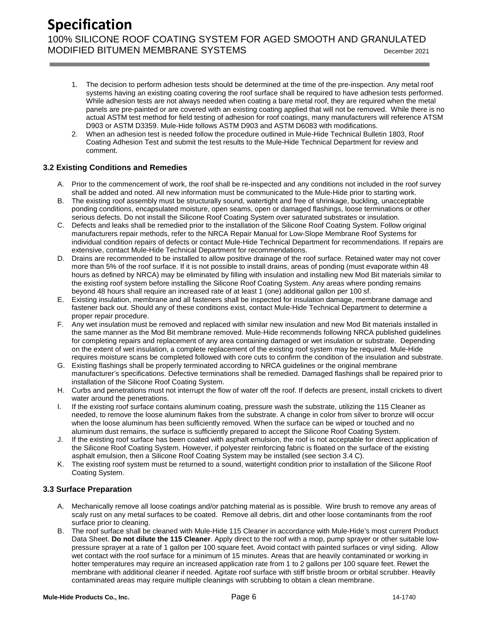- 1. The decision to perform adhesion tests should be determined at the time of the pre-inspection. Any metal roof systems having an existing coating covering the roof surface shall be required to have adhesion tests performed. While adhesion tests are not always needed when coating a bare metal roof, they are required when the metal panels are pre-painted or are covered with an existing coating applied that will not be removed. While there is no actual ASTM test method for field testing of adhesion for roof coatings, many manufacturers will reference ATSM D903 or ASTM D3359. Mule-Hide follows ASTM D903 and ASTM D6083 with modifications.
- 2. When an adhesion test is needed follow the procedure outlined in Mule-Hide Technical Bulletin 1803, Roof Coating Adhesion Test and submit the test results to the Mule-Hide Technical Department for review and comment.

#### <span id="page-6-0"></span>**3.2 Existing Conditions and Remedies**

- A. Prior to the commencement of work, the roof shall be re-inspected and any conditions not included in the roof survey shall be added and noted. All new information must be communicated to the Mule-Hide prior to starting work.
- B. The existing roof assembly must be structurally sound, watertight and free of shrinkage, buckling, unacceptable ponding conditions, encapsulated moisture, open seams, open or damaged flashings, loose terminations or other serious defects. Do not install the Silicone Roof Coating System over saturated substrates or insulation.
- C. Defects and leaks shall be remedied prior to the installation of the Silicone Roof Coating System. Follow original manufacturers repair methods, refer to the NRCA Repair Manual for Low-Slope Membrane Roof Systems for individual condition repairs of defects or contact Mule-Hide Technical Department for recommendations. If repairs are extensive, contact Mule-Hide Technical Department for recommendations.
- D. Drains are recommended to be installed to allow positive drainage of the roof surface. Retained water may not cover more than 5% of the roof surface. If it is not possible to install drains, areas of ponding (must evaporate within 48 hours as defined by NRCA) may be eliminated by filling with insulation and installing new Mod Bit materials similar to the existing roof system before installing the Silicone Roof Coating System. Any areas where ponding remains beyond 48 hours shall require an increased rate of at least 1 (one) additional gallon per 100 sf.
- E. Existing insulation, membrane and all fasteners shall be inspected for insulation damage, membrane damage and fastener back out. Should any of these conditions exist, contact Mule-Hide Technical Department to determine a proper repair procedure.
- F. Any wet insulation must be removed and replaced with similar new insulation and new Mod Bit materials installed in the same manner as the Mod Bit membrane removed. Mule-Hide recommends following NRCA published guidelines for completing repairs and replacement of any area containing damaged or wet insulation or substrate. Depending on the extent of wet insulation, a complete replacement of the existing roof system may be required. Mule-Hide requires moisture scans be completed followed with core cuts to confirm the condition of the insulation and substrate.
- G. Existing flashings shall be properly terminated according to NRCA guidelines or the original membrane manufacturer's specifications. Defective terminations shall be remedied. Damaged flashings shall be repaired prior to installation of the Silicone Roof Coating System.
- H. Curbs and penetrations must not interrupt the flow of water off the roof. If defects are present, install crickets to divert water around the penetrations.
- I. If the existing roof surface contains aluminum coating, pressure wash the substrate, utilizing the 115 Cleaner as needed, to remove the loose aluminum flakes from the substrate. A change in color from silver to bronze will occur when the loose aluminum has been sufficiently removed. When the surface can be wiped or touched and no aluminum dust remains, the surface is sufficiently prepared to accept the Silicone Roof Coating System.
- J. If the existing roof surface has been coated with asphalt emulsion, the roof is not acceptable for direct application of the Silicone Roof Coating System. However, if polyester reinforcing fabric is floated on the surface of the existing asphalt emulsion, then a Silicone Roof Coating System may be installed (see section 3.4 C).
- K. The existing roof system must be returned to a sound, watertight condition prior to installation of the Silicone Roof Coating System.

#### <span id="page-6-1"></span>**3.3 Surface Preparation**

- A. Mechanically remove all loose coatings and/or patching material as is possible. Wire brush to remove any areas of scaly rust on any metal surfaces to be coated. Remove all debris, dirt and other loose contaminants from the roof surface prior to cleaning.
- B. The roof surface shall be cleaned with Mule-Hide 115 Cleaner in accordance with Mule-Hide's most current Product Data Sheet. **Do not dilute the 115 Cleaner**. Apply direct to the roof with a mop, pump sprayer or other suitable lowpressure sprayer at a rate of 1 gallon per 100 square feet. Avoid contact with painted surfaces or vinyl siding. Allow wet contact with the roof surface for a minimum of 15 minutes. Areas that are heavily contaminated or working in hotter temperatures may require an increased application rate from 1 to 2 gallons per 100 square feet. Rewet the membrane with additional cleaner if needed. Agitate roof surface with stiff bristle broom or orbital scrubber. Heavily contaminated areas may require multiple cleanings with scrubbing to obtain a clean membrane.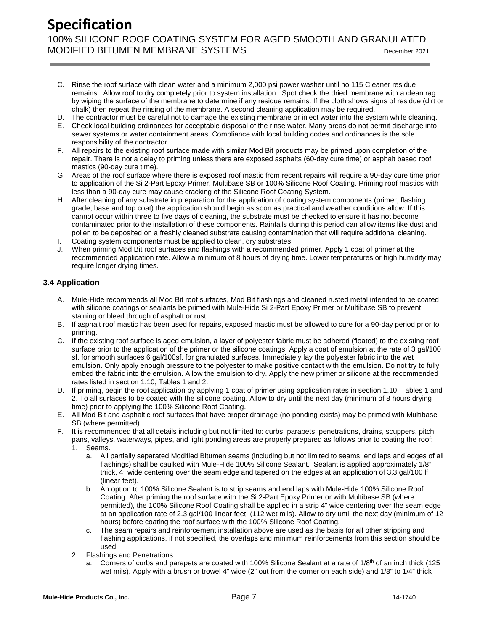## **Specification**

100% SILICONE ROOF COATING SYSTEM FOR AGED SMOOTH AND GRANULATED MODIFIED BITUMEN MEMBRANE SYSTEMS DECEMBER 2021

- C. Rinse the roof surface with clean water and a minimum 2,000 psi power washer until no 115 Cleaner residue remains. Allow roof to dry completely prior to system installation. Spot check the dried membrane with a clean rag by wiping the surface of the membrane to determine if any residue remains. If the cloth shows signs of residue (dirt or chalk) then repeat the rinsing of the membrane. A second cleaning application may be required.
- D. The contractor must be careful not to damage the existing membrane or inject water into the system while cleaning.
- E. Check local building ordinances for acceptable disposal of the rinse water. Many areas do not permit discharge into sewer systems or water containment areas. Compliance with local building codes and ordinances is the sole responsibility of the contractor.
- F. All repairs to the existing roof surface made with similar Mod Bit products may be primed upon completion of the repair. There is not a delay to priming unless there are exposed asphalts (60-day cure time) or asphalt based roof mastics (90-day cure time).
- G. Areas of the roof surface where there is exposed roof mastic from recent repairs will require a 90-day cure time prior to application of the Si 2-Part Epoxy Primer, Multibase SB or 100% Silicone Roof Coating. Priming roof mastics with less than a 90-day cure may cause cracking of the Silicone Roof Coating System.
- H. After cleaning of any substrate in preparation for the application of coating system components (primer, flashing grade, base and top coat) the application should begin as soon as practical and weather conditions allow. If this cannot occur within three to five days of cleaning, the substrate must be checked to ensure it has not become contaminated prior to the installation of these components. Rainfalls during this period can allow items like dust and pollen to be deposited on a freshly cleaned substrate causing contamination that will require additional cleaning.
- I. Coating system components must be applied to clean, dry substrates.
- J. When priming Mod Bit roof surfaces and flashings with a recommended primer. Apply 1 coat of primer at the recommended application rate. Allow a minimum of 8 hours of drying time. Lower temperatures or high humidity may require longer drying times.

#### <span id="page-7-0"></span>**3.4 Application**

- A. Mule-Hide recommends all Mod Bit roof surfaces, Mod Bit flashings and cleaned rusted metal intended to be coated with silicone coatings or sealants be primed with Mule-Hide Si 2-Part Epoxy Primer or Multibase SB to prevent staining or bleed through of asphalt or rust.
- B. If asphalt roof mastic has been used for repairs, exposed mastic must be allowed to cure for a 90-day period prior to priming.
- C. If the existing roof surface is aged emulsion, a layer of polyester fabric must be adhered (floated) to the existing roof surface prior to the application of the primer or the silicone coatings. Apply a coat of emulsion at the rate of 3 gal/100 sf. for smooth surfaces 6 gal/100sf. for granulated surfaces. Immediately lay the polyester fabric into the wet emulsion. Only apply enough pressure to the polyester to make positive contact with the emulsion. Do not try to fully embed the fabric into the emulsion. Allow the emulsion to dry. Apply the new primer or silicone at the recommended rates listed in section 1.10, Tables 1 and 2.
- D. If priming, begin the roof application by applying 1 coat of primer using application rates in section 1.10, Tables 1 and 2. To all surfaces to be coated with the silicone coating. Allow to dry until the next day (minimum of 8 hours drying time) prior to applying the 100% Silicone Roof Coating.
- E. All Mod Bit and asphaltic roof surfaces that have proper drainage (no ponding exists) may be primed with Multibase SB (where permitted).
- F. It is recommended that all details including but not limited to: curbs, parapets, penetrations, drains, scuppers, pitch pans, valleys, waterways, pipes, and light ponding areas are properly prepared as follows prior to coating the roof: 1. Seams.
	- a. All partially separated Modified Bitumen seams (including but not limited to seams, end laps and edges of all flashings) shall be caulked with Mule-Hide 100% Silicone Sealant. Sealant is applied approximately 1/8" thick, 4" wide centering over the seam edge and tapered on the edges at an application of 3.3 gal/100 lf (linear feet).
	- b. An option to 100% Silicone Sealant is to strip seams and end laps with Mule-Hide 100% Silicone Roof Coating. After priming the roof surface with the Si 2-Part Epoxy Primer or with Multibase SB (where permitted), the 100% Silicone Roof Coating shall be applied in a strip 4" wide centering over the seam edge at an application rate of 2.3 gal/100 linear feet. (112 wet mils). Allow to dry until the next day (minimum of 12 hours) before coating the roof surface with the 100% Silicone Roof Coating.
	- c. The seam repairs and reinforcement installation above are used as the basis for all other stripping and flashing applications, if not specified, the overlaps and minimum reinforcements from this section should be used.
	- 2. Flashings and Penetrations
		- a. Corners of curbs and parapets are coated with 100% Silicone Sealant at a rate of  $1/8<sup>th</sup>$  of an inch thick (125 wet mils). Apply with a brush or trowel 4" wide (2" out from the corner on each side) and 1/8" to 1/4" thick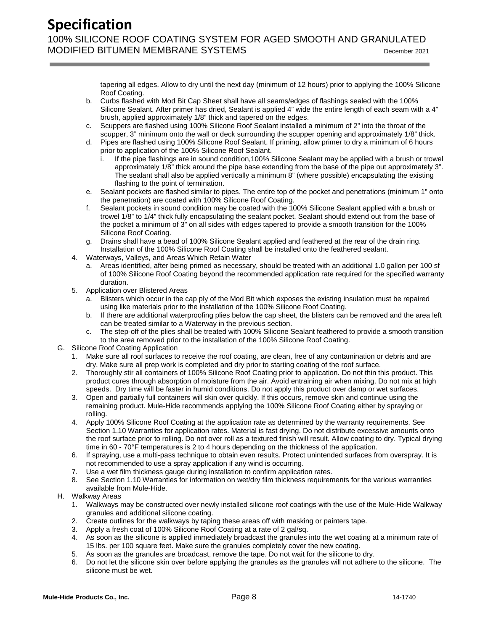## **Specification**

100% SILICONE ROOF COATING SYSTEM FOR AGED SMOOTH AND GRANULATED MODIFIED BITUMEN MEMBRANE SYSTEMS DECEMBER 2021

tapering all edges. Allow to dry until the next day (minimum of 12 hours) prior to applying the 100% Silicone Roof Coating.

- b. Curbs flashed with Mod Bit Cap Sheet shall have all seams/edges of flashings sealed with the 100% Silicone Sealant. After primer has dried, Sealant is applied 4" wide the entire length of each seam with a 4" brush, applied approximately 1/8" thick and tapered on the edges.
- c. Scuppers are flashed using 100% Silicone Roof Sealant installed a minimum of 2" into the throat of the scupper, 3" minimum onto the wall or deck surrounding the scupper opening and approximately 1/8" thick.
- d. Pipes are flashed using 100% Silicone Roof Sealant. If priming, allow primer to dry a minimum of 6 hours prior to application of the 100% Silicone Roof Sealant.
	- If the pipe flashings are in sound condition,100% Silicone Sealant may be applied with a brush or trowel approximately 1/8" thick around the pipe base extending from the base of the pipe out approximately 3". The sealant shall also be applied vertically a minimum 8" (where possible) encapsulating the existing flashing to the point of termination.
- e. Sealant pockets are flashed similar to pipes. The entire top of the pocket and penetrations (minimum 1" onto the penetration) are coated with 100% Silicone Roof Coating.
- f. Sealant pockets in sound condition may be coated with the 100% Silicone Sealant applied with a brush or trowel 1/8" to 1/4" thick fully encapsulating the sealant pocket. Sealant should extend out from the base of the pocket a minimum of 3" on all sides with edges tapered to provide a smooth transition for the 100% Silicone Roof Coating.
- g. Drains shall have a bead of 100% Silicone Sealant applied and feathered at the rear of the drain ring. Installation of the 100% Silicone Roof Coating shall be installed onto the feathered sealant.
- 4. Waterways, Valleys, and Areas Which Retain Water
	- a. Areas identified, after being primed as necessary, should be treated with an additional 1.0 gallon per 100 sf of 100% Silicone Roof Coating beyond the recommended application rate required for the specified warranty duration.
- 5. Application over Blistered Areas
	- a. Blisters which occur in the cap ply of the Mod Bit which exposes the existing insulation must be repaired using like materials prior to the installation of the 100% Silicone Roof Coating.
	- b. If there are additional waterproofing plies below the cap sheet, the blisters can be removed and the area left can be treated similar to a Waterway in the previous section.
	- c. The step-off of the plies shall be treated with 100% Silicone Sealant feathered to provide a smooth transition to the area removed prior to the installation of the 100% Silicone Roof Coating.
- G. Silicone Roof Coating Application
	- 1. Make sure all roof surfaces to receive the roof coating, are clean, free of any contamination or debris and are dry. Make sure all prep work is completed and dry prior to starting coating of the roof surface.
	- 2. Thoroughly stir all containers of 100% Silicone Roof Coating prior to application. Do not thin this product. This product cures through absorption of moisture from the air. Avoid entraining air when mixing. Do not mix at high speeds. Dry time will be faster in humid conditions. Do not apply this product over damp or wet surfaces.
	- 3. Open and partially full containers will skin over quickly. If this occurs, remove skin and continue using the remaining product. Mule-Hide recommends applying the 100% Silicone Roof Coating either by spraying or rolling.
	- 4. Apply 100% Silicone Roof Coating at the application rate as determined by the warranty requirements. See Section 1.10 Warranties for application rates. Material is fast drying. Do not distribute excessive amounts onto the roof surface prior to rolling. Do not over roll as a textured finish will result. Allow coating to dry. Typical drying time in 60 - 70°F temperatures is 2 to 4 hours depending on the thickness of the application.
	- 6. If spraying, use a multi-pass technique to obtain even results. Protect unintended surfaces from overspray. It is not recommended to use a spray application if any wind is occurring.
	- 7. Use a wet film thickness gauge during installation to confirm application rates.
	- 8. See Section 1.10 Warranties for information on wet/dry film thickness requirements for the various warranties available from Mule-Hide.
- H. Walkway Areas
	- 1. Walkways may be constructed over newly installed silicone roof coatings with the use of the Mule-Hide Walkway granules and additional silicone coating.
	- 2. Create outlines for the walkways by taping these areas off with masking or painters tape.
	- 3. Apply a fresh coat of 100% Silicone Roof Coating at a rate of 2 gal/sq.
	- 4. As soon as the silicone is applied immediately broadcast the granules into the wet coating at a minimum rate of 15 lbs. per 100 square feet. Make sure the granules completely cover the new coating.
	- 5. As soon as the granules are broadcast, remove the tape. Do not wait for the silicone to dry.
	- 6. Do not let the silicone skin over before applying the granules as the granules will not adhere to the silicone. The silicone must be wet.